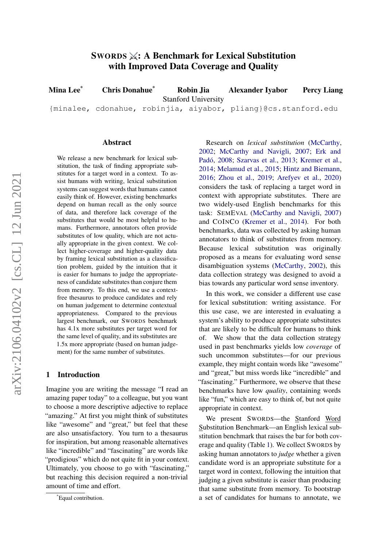# $S_{WORDS} \times$ : A Benchmark for Lexical Substitution with Improved Data Coverage and Quality

Mina Lee\* Chris Donahue\* Robin Jia Stanford University {minalee, cdonahue, robinjia, aiyabor, pliang}@cs.stanford.edu Alexander Iyabor Percy Liang

#### Abstract

We release a new benchmark for lexical substitution, the task of finding appropriate substitutes for a target word in a context. To assist humans with writing, lexical substitution systems can suggest words that humans cannot easily think of. However, existing benchmarks depend on human recall as the only source of data, and therefore lack coverage of the substitutes that would be most helpful to humans. Furthermore, annotators often provide substitutes of low quality, which are not actually appropriate in the given context. We collect higher-coverage and higher-quality data by framing lexical substitution as a classification problem, guided by the intuition that it is easier for humans to judge the appropriateness of candidate substitutes than conjure them from memory. To this end, we use a contextfree thesaurus to produce candidates and rely on human judgement to determine contextual appropriateness. Compared to the previous largest benchmark, our SWORDS benchmark has 4.1x more substitutes per target word for the same level of quality, and its substitutes are 1.5x more appropriate (based on human judgement) for the same number of substitutes.

### 1 Introduction

Imagine you are writing the message "I read an amazing paper today" to a colleague, but you want to choose a more descriptive adjective to replace "amazing." At first you might think of substitutes like "awesome" and "great," but feel that these are also unsatisfactory. You turn to a thesaurus for inspiration, but among reasonable alternatives like "incredible" and "fascinating" are words like "prodigious" which do not quite fit in your context. Ultimately, you choose to go with "fascinating," but reaching this decision required a non-trivial amount of time and effort.

Research on *lexical substitution* [\(McCarthy,](#page-10-0) [2002;](#page-10-0) [McCarthy and Navigli,](#page-10-1) [2007;](#page-10-1) [Erk and](#page-9-0) [Padó,](#page-9-0) [2008;](#page-9-0) [Szarvas et al.,](#page-10-2) [2013;](#page-10-2) [Kremer et al.,](#page-9-1) [2014;](#page-9-1) [Melamud et al.,](#page-10-3) [2015;](#page-10-3) [Hintz and Biemann,](#page-9-2) [2016;](#page-9-2) [Zhou et al.,](#page-10-4) [2019;](#page-10-4) [Arefyev et al.,](#page-9-3) [2020\)](#page-9-3) considers the task of replacing a target word in context with appropriate substitutes. There are two widely-used English benchmarks for this task: SEMEVAL [\(McCarthy and Navigli,](#page-10-1) [2007\)](#page-10-1) and COINCO [\(Kremer et al.,](#page-9-1) [2014\)](#page-9-1). For both benchmarks, data was collected by asking human annotators to think of substitutes from memory. Because lexical substitution was originally proposed as a means for evaluating word sense disambiguation systems [\(McCarthy,](#page-10-0) [2002\)](#page-10-0), this data collection strategy was designed to avoid a bias towards any particular word sense inventory.

In this work, we consider a different use case for lexical substitution: writing assistance. For this use case, we are interested in evaluating a system's ability to produce appropriate substitutes that are likely to be difficult for humans to think of. We show that the data collection strategy used in past benchmarks yields low *coverage* of such uncommon substitutes—for our previous example, they might contain words like "awesome" and "great," but miss words like "incredible" and "fascinating." Furthermore, we observe that these benchmarks have low *quality*, containing words like "fun," which are easy to think of, but not quite appropriate in context.

We present SWORDS—the Stanford Word Substitution Benchmark—an English lexical substitution benchmark that raises the bar for both coverage and quality (Table [1\)](#page-1-0). We collect SWORDS by asking human annotators to *judge* whether a given candidate word is an appropriate substitute for a target word in context, following the intuition that judging a given substitute is easier than producing that same substitute from memory. To bootstrap a set of candidates for humans to annotate, we

<sup>\*</sup>Equal contribution.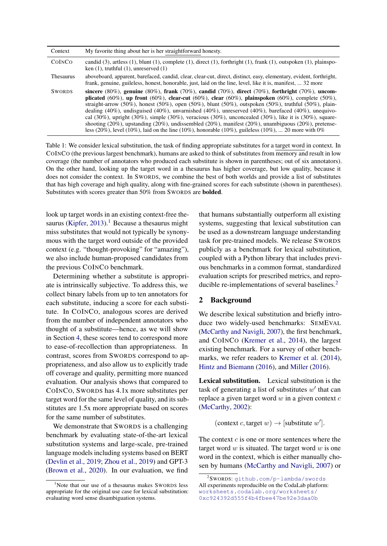<span id="page-1-0"></span>

| Context          | My favorite thing about her is her straightforward honesty.                                                                                                                                                                                                                                                                                                                                                                                                                                                                                                                                                                                                                                                                                                                        |
|------------------|------------------------------------------------------------------------------------------------------------------------------------------------------------------------------------------------------------------------------------------------------------------------------------------------------------------------------------------------------------------------------------------------------------------------------------------------------------------------------------------------------------------------------------------------------------------------------------------------------------------------------------------------------------------------------------------------------------------------------------------------------------------------------------|
| COINCO           | candid $(3)$ , artless $(1)$ , blunt $(1)$ , complete $(1)$ , direct $(1)$ , forthright $(1)$ , frank $(1)$ , outspoken $(1)$ , plainspo-<br>ken $(1)$ , truthful $(1)$ , unreserved $(1)$                                                                                                                                                                                                                                                                                                                                                                                                                                                                                                                                                                                         |
| <b>Thesaurus</b> | aboveboard, apparent, barefaced, candid, clear, clear-cut, direct, distinct, easy, elementary, evident, forthright,<br>frank, genuine, guileless, honest, honorable, just, laid on the line, level, like it is, manifest,  32 more                                                                                                                                                                                                                                                                                                                                                                                                                                                                                                                                                 |
| <b>SWORDS</b>    | sincere (80%), genuine (80%), frank (70%), candid (70%), direct (70%), forthright (70%), uncom-<br>plicated (60%), up front (60%), clear-cut (60%), clear (60%), plainspoken (60%), complete (50%),<br>straight-arrow (50%), honest (50%), open (50%), blunt (50%), outspoken (50%), truthful (50%), plain-<br>dealing (40%), undisguised (40%), unvarnished (40%), unreserved (40%), barefaced (40%), unequivo-<br>cal $(30\%)$ , upright $(30\%)$ , simple $(30\%)$ , veracious $(30\%)$ , unconcealed $(30\%)$ , like it is $(30\%)$ , square-<br>shooting $(20\%)$ , upstanding $(20\%)$ , undissembled $(20\%)$ , manifest $(20\%)$ , unambiguous $(20\%)$ , pretense-<br>less (20%), level (10%), laid on the line (10%), honorable (10%), guileless (10%),  20 more with 0% |

Table 1: We consider lexical substitution, the task of finding appropriate substitutes for a target word in context. In COINCO (the previous largest benchmark), humans are asked to think of substitutes from memory and result in low coverage (the number of annotators who produced each substitute is shown in parentheses; out of six annotators). On the other hand, looking up the target word in a thesaurus has higher coverage, but low quality, because it does not consider the context. In SWORDS, we combine the best of both worlds and provide a list of substitutes that has high coverage and high quality, along with fine-grained scores for each substitute (shown in parentheses). Substitutes with scores greater than 50% from SWORDS are bolded.

look up target words in an existing context-free the-saurus [\(Kipfer,](#page-9-4) [2013\)](#page-9-4).<sup>[1](#page-1-1)</sup> Because a thesaurus might miss substitutes that would not typically be synonymous with the target word outside of the provided context (e.g. "thought-provoking" for "amazing"), we also include human-proposed candidates from the previous COINCO benchmark.

Determining whether a substitute is appropriate is intrinsically subjective. To address this, we collect binary labels from up to ten annotators for each substitute, inducing a score for each substitute. In COINCO, analogous scores are derived from the number of independent annotators who thought of a substitute—hence, as we will show in Section [4,](#page-4-0) these scores tend to correspond more to ease-of-recollection than appropriateness. In contrast, scores from SWORDS correspond to appropriateness, and also allow us to explicitly trade off coverage and quality, permitting more nuanced evaluation. Our analysis shows that compared to COINCO, SWORDS has 4.1x more substitutes per target word for the same level of quality, and its substitutes are 1.5x more appropriate based on scores for the same number of substitutes.

We demonstrate that SWORDS is a challenging benchmark by evaluating state-of-the-art lexical substitution systems and large-scale, pre-trained language models including systems based on BERT [\(Devlin et al.,](#page-9-5) [2019;](#page-9-5) [Zhou et al.,](#page-10-4) [2019\)](#page-10-4) and GPT-3 [\(Brown et al.,](#page-9-6) [2020\)](#page-9-6). In our evaluation, we find that humans substantially outperform all existing systems, suggesting that lexical substitution can be used as a downstream language understanding task for pre-trained models. We release SWORDS publicly as a benchmark for lexical substitution, coupled with a Python library that includes previous benchmarks in a common format, standardized evaluation scripts for prescribed metrics, and repro-ducible re-implementations of several baselines.<sup>[2](#page-1-2)</sup>

### <span id="page-1-3"></span>2 Background

We describe lexical substitution and briefly introduce two widely-used benchmarks: SEMEVAL [\(McCarthy and Navigli,](#page-10-1) [2007\)](#page-10-1), the first benchmark, and COINCO [\(Kremer et al.,](#page-9-1) [2014\)](#page-9-1), the largest existing benchmark. For a survey of other benchmarks, we refer readers to [Kremer et al.](#page-9-1) [\(2014\)](#page-9-1), [Hintz and Biemann](#page-9-2) [\(2016\)](#page-9-2), and [Miller](#page-10-5) [\(2016\)](#page-10-5).

Lexical substitution. Lexical substitution is the task of generating a list of substitutes  $w'$  that can replace a given target word  $w$  in a given context  $c$ [\(McCarthy,](#page-10-0) [2002\)](#page-10-0):

(context c, target  $w$ )  $\rightarrow$  [substitute  $w'$ ].

The context  $c$  is one or more sentences where the target word  $w$  is situated. The target word  $w$  is one word in the context, which is either manually chosen by humans [\(McCarthy and Navigli,](#page-10-1) [2007\)](#page-10-1) or

<span id="page-1-1"></span><sup>&</sup>lt;sup>1</sup>Note that our use of a thesaurus makes SWORDS less appropriate for the original use case for lexical substitution: evaluating word sense disambiguation systems.

<span id="page-1-2"></span><sup>2</sup> SWORDS: [github.com/p-lambda/swords](https://github.com/p-lambda/swords) All experiments reproducible on the CodaLab platform: [worksheets.codalab.org/worksheets/](https://worksheets.codalab.org/worksheets/0xc924392d555f4b4fbee47be92e3daa0b) [0xc924392d555f4b4fbee47be92e3daa0b](https://worksheets.codalab.org/worksheets/0xc924392d555f4b4fbee47be92e3daa0b)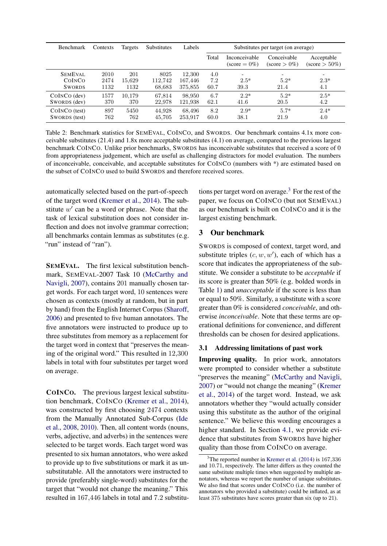<span id="page-2-1"></span>

| <b>Benchmark</b> | Contexts | Targets | <b>Substitutes</b> | Labels  | Substitutes per target (on average) |                                         |                                       |                                       |  |
|------------------|----------|---------|--------------------|---------|-------------------------------------|-----------------------------------------|---------------------------------------|---------------------------------------|--|
|                  |          |         |                    |         | Total                               | Inconceivable<br>$(\text{score} = 0\%)$ | Conceivable<br>$(\text{score} > 0\%)$ | Acceptable<br>$(\text{score} > 50\%)$ |  |
| <b>SEMEVAL</b>   | 2010     | 201     | 8025               | 12,300  | 4.0                                 | $\overline{\phantom{0}}$                | $\overline{\phantom{0}}$              | $\overline{\phantom{a}}$              |  |
| COINCO           | 2474     | 15.629  | 112,742            | 167,446 | 7.2                                 | $2.5*$                                  | $5.2*$                                | $2.3*$                                |  |
| <b>SWORDS</b>    | 1132     | 1132    | 68,683             | 375,855 | 60.7                                | 39.3                                    | 21.4                                  | 4.1                                   |  |
| $COINCO$ (dev)   | 1577     | 10,179  | 67,814             | 98,950  | 6.7                                 | $2.2*$                                  | $5.2*$                                | $2.5*$                                |  |
| SWORDS (dev)     | 370      | 370     | 22,978             | 121,938 | 62.1                                | 41.6                                    | 20.5                                  | 4.2                                   |  |
| COINCO (test)    | 897      | 5450    | 44,928             | 68,496  | 8.2                                 | $2.9*$                                  | $5.7*$                                | $2.4*$                                |  |
| SWORDS (test)    | 762      | 762     | 45,705             | 253,917 | 60.0                                | 38.1                                    | 21.9                                  | 4.0                                   |  |

Table 2: Benchmark statistics for SEMEVAL, COINCO, and SWORDS. Our benchmark contains 4.1x more conceivable substitutes (21.4) and 1.8x more acceptable substitutes (4.1) on average, compared to the previous largest benchmark COINCO. Unlike prior benchmarks, SWORDS has inconceivable substitutes that received a score of 0 from appropriateness judgement, which are useful as challenging distractors for model evaluation. The numbers of inconceivable, conceivable, and acceptable substitutes for COINCO (numbers with \*) are estimated based on the subset of COINCO used to build SWORDS and therefore received scores.

automatically selected based on the part-of-speech of the target word [\(Kremer et al.,](#page-9-1) [2014\)](#page-9-1). The substitute  $w'$  can be a word or phrase. Note that the task of lexical substitution does not consider inflection and does not involve grammar correction; all benchmarks contain lemmas as substitutes (e.g. "run" instead of "ran").

SEMEVAL. The first lexical substitution benchmark, SEMEVAL-2007 Task 10 [\(McCarthy and](#page-10-1) [Navigli,](#page-10-1) [2007\)](#page-10-1), contains 201 manually chosen target words. For each target word, 10 sentences were chosen as contexts (mostly at random, but in part by hand) from the English Internet Corpus [\(Sharoff,](#page-10-6) [2006\)](#page-10-6) and presented to five human annotators. The five annotators were instructed to produce up to three substitutes from memory as a replacement for the target word in context that "preserves the meaning of the original word." This resulted in 12,300 labels in total with four substitutes per target word on average.

COINCO. The previous largest lexical substitution benchmark, COINCO [\(Kremer et al.,](#page-9-1) [2014\)](#page-9-1), was constructed by first choosing 2474 contexts from the Manually Annotated Sub-Corpus [\(Ide](#page-9-7) [et al.,](#page-9-7) [2008,](#page-9-7) [2010\)](#page-9-8). Then, all content words (nouns, verbs, adjective, and adverbs) in the sentences were selected to be target words. Each target word was presented to six human annotators, who were asked to provide up to five substitutions or mark it as unsubstitutable. All the annotators were instructed to provide (preferably single-word) substitutes for the target that "would not change the meaning." This resulted in 167,446 labels in total and 7.2 substitutions per target word on average.[3](#page-2-0) For the rest of the paper, we focus on COINCO (but not SEMEVAL) as our benchmark is built on COINCO and it is the largest existing benchmark.

## 3 Our benchmark

SWORDS is composed of context, target word, and substitute triples  $(c, w, w')$ , each of which has a score that indicates the appropriateness of the substitute. We consider a substitute to be *acceptable* if its score is greater than 50% (e.g. bolded words in Table [1\)](#page-1-0) and *unacceptable* if the score is less than or equal to 50%. Similarly, a substitute with a score greater than 0% is considered *conceivable*, and otherwise *inconceivable*. Note that these terms are operational definitions for convenience, and different thresholds can be chosen for desired applications.

#### <span id="page-2-2"></span>3.1 Addressing limitations of past work

Improving quality. In prior work, annotators were prompted to consider whether a substitute "preserves the meaning" [\(McCarthy and Navigli,](#page-10-1) [2007\)](#page-10-1) or "would not change the meaning" [\(Kremer](#page-9-1) [et al.,](#page-9-1) [2014\)](#page-9-1) of the target word. Instead, we ask annotators whether they "would actually consider using this substitute as the author of the original sentence." We believe this wording encourages a higher standard. In Section [4.1,](#page-4-1) we provide evidence that substitutes from SWORDS have higher quality than those from COINCO on average.

<span id="page-2-0"></span> $3$ The reported number in [Kremer et al.](#page-9-1) [\(2014\)](#page-9-1) is 167,336 and 10.71, respectively. The latter differs as they counted the same substitute multiple times when suggested by multiple annotators, whereas we report the number of unique substitutes. We also find that scores under COINCO (i.e. the number of annotators who provided a substitute) could be inflated, as at least 375 substitutes have scores greater than six (up to 21).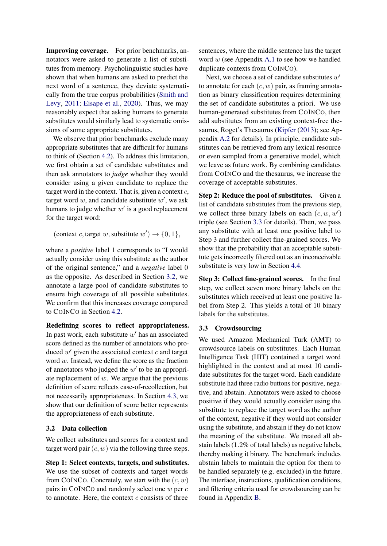Improving coverage. For prior benchmarks, annotators were asked to generate a list of substitutes from memory. Psycholinguistic studies have shown that when humans are asked to predict the next word of a sentence, they deviate systematically from the true corpus probabilities [\(Smith and](#page-10-7) [Levy,](#page-10-7) [2011;](#page-10-7) [Eisape et al.,](#page-9-9) [2020\)](#page-9-9). Thus, we may reasonably expect that asking humans to generate substitutes would similarly lead to systematic omissions of some appropriate substitutes.

We observe that prior benchmarks exclude many appropriate substitutes that are difficult for humans to think of (Section [4.2\)](#page-4-2). To address this limitation, we first obtain a set of candidate substitutes and then ask annotators to *judge* whether they would consider using a given candidate to replace the target word in the context. That is, given a context  $c$ , target word  $w$ , and candidate substitute  $w'$ , we ask humans to judge whether  $w'$  is a good replacement for the target word:

(context c, target w, substitute  $w'$ )  $\rightarrow$  {0, 1},

where a *positive* label 1 corresponds to "I would actually consider using this substitute as the author of the original sentence," and a *negative* label 0 as the opposite. As described in Section [3.2,](#page-3-0) we annotate a large pool of candidate substitutes to ensure high coverage of all possible substitutes. We confirm that this increases coverage compared to COINCO in Section [4.2.](#page-4-2)

Redefining scores to reflect appropriateness. In past work, each substitute  $w'$  has an associated score defined as the number of annotators who produced  $w'$  given the associated context  $c$  and target word w. Instead, we define the score as the fraction of annotators who judged the  $w'$  to be an appropriate replacement of  $w$ . We argue that the previous definition of score reflects ease-of-recollection, but not necessarily appropriateness. In Section [4.3,](#page-4-3) we show that our definition of score better represents the appropriateness of each substitute.

## <span id="page-3-0"></span>3.2 Data collection

We collect substitutes and scores for a context and target word pair  $(c, w)$  via the following three steps.

Step 1: Select contexts, targets, and substitutes. We use the subset of contexts and target words from COINCO. Concretely, we start with the  $(c, w)$ pairs in COINCO and randomly select one w per c to annotate. Here, the context  $c$  consists of three

sentences, where the middle sentence has the target word w (see Appendix [A.1](#page-11-0) to see how we handled duplicate contexts from COINCO).

Next, we choose a set of candidate substitutes  $w'$ to annotate for each  $(c, w)$  pair, as framing annotation as binary classification requires determining the set of candidate substitutes a priori. We use human-generated substitutes from COINCO, then add substitutes from an existing context-free thesaurus, Roget's Thesaurus [\(Kipfer](#page-9-4) [\(2013\)](#page-9-4); see Appendix [A.2](#page-11-1) for details). In principle, candidate substitutes can be retrieved from any lexical resource or even sampled from a generative model, which we leave as future work. By combining candidates from COINCO and the thesaurus, we increase the coverage of acceptable substitutes.

Step 2: Reduce the pool of substitutes. Given a list of candidate substitutes from the previous step, we collect three binary labels on each  $(c, w, w')$ triple (see Section [3.3](#page-3-1) for details). Then, we pass any substitute with at least one positive label to Step 3 and further collect fine-grained scores. We show that the probability that an acceptable substitute gets incorrectly filtered out as an inconceivable substitute is very low in Section [4.4.](#page-5-0)

Step 3: Collect fine-grained scores. In the final step, we collect seven more binary labels on the substitutes which received at least one positive label from Step 2. This yields a total of 10 binary labels for the substitutes.

## <span id="page-3-1"></span>3.3 Crowdsourcing

We used Amazon Mechanical Turk (AMT) to crowdsource labels on substitutes. Each Human Intelligence Task (HIT) contained a target word highlighted in the context and at most 10 candidate substitutes for the target word. Each candidate substitute had three radio buttons for positive, negative, and abstain. Annotators were asked to choose positive if they would actually consider using the substitute to replace the target word as the author of the context, negative if they would not consider using the substitute, and abstain if they do not know the meaning of the substitute. We treated all abstain labels (1.2% of total labels) as negative labels, thereby making it binary. The benchmark includes abstain labels to maintain the option for them to be handled separately (e.g. excluded) in the future. The interface, instructions, qualification conditions, and filtering criteria used for crowdsourcing can be found in Appendix [B.](#page-11-2)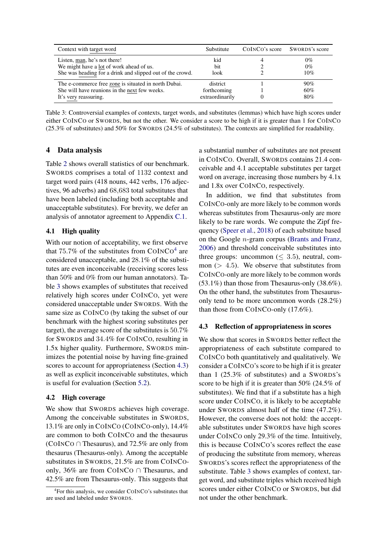<span id="page-4-5"></span>

| Context with target word                                  | Substitute      | COINCO's score SWORDS's score |
|-----------------------------------------------------------|-----------------|-------------------------------|
| Listen, man, he's not there!                              | kid             | $0\%$                         |
| We might have a lot of work ahead of us.                  | <b>bit</b>      | $0\%$                         |
| She was heading for a drink and slipped out of the crowd. | look            | 10%                           |
| The e-commerce free zone is situated in north Dubai.      | district        | 90%                           |
| She will have reunions in the next few weeks.             | forthcoming     | 60%                           |
| It's very reassuring.                                     | extraordinarily | 80%                           |

Table 3: Controversial examples of contexts, target words, and substitutes (lemmas) which have high scores under either COINCO or SWORDS, but not the other. We consider a score to be high if it is greater than 1 for COINCO (25.3% of substitutes) and 50% for SWORDS (24.5% of substitutes). The contexts are simplified for readability.

## <span id="page-4-0"></span>4 Data analysis

Table [2](#page-2-1) shows overall statistics of our benchmark. SWORDS comprises a total of 1132 context and target word pairs (418 nouns, 442 verbs, 176 adjectives, 96 adverbs) and 68,683 total substitutes that have been labeled (including both acceptable and unacceptable substitutes). For brevity, we defer an analysis of annotator agreement to Appendix [C.1.](#page-13-0)

## <span id="page-4-1"></span>4.1 High quality

With our notion of acceptability, we first observe that  $75.7\%$  of the substitutes from COINCO<sup>[4](#page-4-4)</sup> are considered unacceptable, and 28.1% of the substitutes are even inconceivable (receiving scores less than 50% and 0% from our human annotators). Table [3](#page-4-5) shows examples of substitutes that received relatively high scores under COINCO, yet were considered unacceptable under SWORDS. With the same size as COINCO (by taking the subset of our benchmark with the highest scoring substitutes per target), the average score of the substitutes is 50.7% for SWORDS and 34.4% for COINCO, resulting in 1.5x higher quality. Furthermore, SWORDS minimizes the potential noise by having fine-grained scores to account for appropriateness (Section [4.3\)](#page-4-3) as well as explicit inconceivable substitutes, which is useful for evaluation (Section [5.2\)](#page-5-1).

### <span id="page-4-2"></span>4.2 High coverage

We show that SWORDS achieves high coverage. Among the conceivable substitutes in SWORDS, 13.1% are only in COINCO (COINCO-only), 14.4% are common to both COINCO and the thesaurus (COINCO ∩ Thesaurus), and 72.5% are only from thesaurus (Thesaurus-only). Among the acceptable substitutes in SWORDS, 21.5% are from COINCOonly, 36% are from COINCO ∩ Thesaurus, and 42.5% are from Thesaurus-only. This suggests that

a substantial number of substitutes are not present in COINCO. Overall, SWORDS contains 21.4 conceivable and 4.1 acceptable substitutes per target word on average, increasing those numbers by 4.1x and 1.8x over COINCO, respectively.

In addition, we find that substitutes from COINCO-only are more likely to be common words whereas substitutes from Thesaurus-only are more likely to be rare words. We compute the Zipf frequency [\(Speer et al.,](#page-10-8) [2018\)](#page-10-8) of each substitute based on the Google n-gram corpus [\(Brants and Franz,](#page-9-10) [2006\)](#page-9-10) and threshold conceivable substitutes into three groups: uncommon ( $\leq$  3.5), neutral, common ( $> 4.5$ ). We observe that substitutes from COINCO-only are more likely to be common words (53.1%) than those from Thesaurus-only (38.6%). On the other hand, the substitutes from Thesaurusonly tend to be more uncommon words (28.2%) than those from COINCO-only (17.6%).

### <span id="page-4-3"></span>4.3 Reflection of appropriateness in scores

We show that scores in SWORDS better reflect the appropriateness of each substitute compared to COINCO both quantitatively and qualitatively. We consider a COINCO's score to be high if it is greater than 1 (25.3% of substitutes) and a SWORDS's score to be high if it is greater than 50% (24.5% of substitutes). We find that if a substitute has a high score under COINCO, it is likely to be acceptable under SWORDS almost half of the time (47.2%). However, the converse does not hold: the acceptable substitutes under SWORDS have high scores under COINCO only 29.3% of the time. Intuitively, this is because COINCO's scores reflect the ease of producing the substitute from memory, whereas SWORDS's scores reflect the appropriateness of the substitute. Table [3](#page-4-5) shows examples of context, target word, and substitute triples which received high scores under either COINCO or SWORDS, but did not under the other benchmark.

<span id="page-4-4"></span><sup>4</sup> For this analysis, we consider COINCO's substitutes that are used and labeled under SWORDS.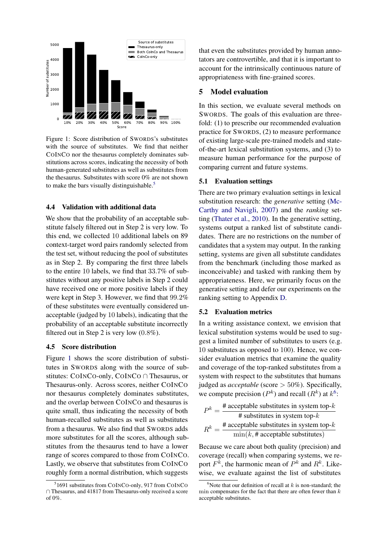<span id="page-5-3"></span>

Figure 1: Score distribution of SWORDS's substitutes with the source of substitutes. We find that neither COINCO nor the thesaurus completely dominates substitutions across scores, indicating the necessity of both human-generated substitutes as well as substitutes from the thesaurus. Substitutes with score 0% are not shown to make the bars visually distinguishable.<sup>[5](#page-5-2)</sup>

#### <span id="page-5-0"></span>4.4 Validation with additional data

We show that the probability of an acceptable substitute falsely filtered out in Step 2 is very low. To this end, we collected 10 additional labels on 89 context-target word pairs randomly selected from the test set, without reducing the pool of substitutes as in Step 2. By comparing the first three labels to the entire 10 labels, we find that 33.7% of substitutes without any positive labels in Step 2 could have received one or more positive labels if they were kept in Step 3. However, we find that 99.2% of these substitutes were eventually considered unacceptable (judged by 10 labels), indicating that the probability of an acceptable substitute incorrectly filtered out in Step 2 is very low (0.8%).

#### 4.5 Score distribution

Figure [1](#page-5-3) shows the score distribution of substitutes in SWORDS along with the source of substitutes: COINCO-only, COINCO ∩ Thesaurus, or Thesaurus-only. Across scores, neither COINCO nor thesaurus completely dominates substitutes, and the overlap between COINCO and thesaurus is quite small, thus indicating the necessity of both human-recalled substitutes as well as substitutes from a thesaurus. We also find that SWORDS adds more substitutes for all the scores, although substitutes from the thesaurus tend to have a lower range of scores compared to those from COINCO. Lastly, we observe that substitutes from COINCO roughly form a normal distribution, which suggests

that even the substitutes provided by human annotators are controvertible, and that it is important to account for the intrinsically continuous nature of appropriateness with fine-grained scores.

## <span id="page-5-5"></span>5 Model evaluation

In this section, we evaluate several methods on SWORDS. The goals of this evaluation are threefold: (1) to prescribe our recommended evaluation practice for SWORDS, (2) to measure performance of existing large-scale pre-trained models and stateof-the-art lexical substitution systems, and (3) to measure human performance for the purpose of comparing current and future systems.

## 5.1 Evaluation settings

There are two primary evaluation settings in lexical substitution research: the *generative* setting [\(Mc-](#page-10-1)[Carthy and Navigli,](#page-10-1) [2007\)](#page-10-1) and the *ranking* setting [\(Thater et al.,](#page-10-9) [2010\)](#page-10-9). In the generative setting, systems output a ranked list of substitute candidates. There are no restrictions on the number of candidates that a system may output. In the ranking setting, systems are given all substitute candidates from the benchmark (including those marked as inconceivable) and tasked with ranking them by appropriateness. Here, we primarily focus on the generative setting and defer our experiments on the ranking setting to Appendix [D.](#page-14-0)

#### <span id="page-5-1"></span>5.2 Evaluation metrics

In a writing assistance context, we envision that lexical substitution systems would be used to suggest a limited number of substitutes to users (e.g. 10 substitutes as opposed to 100). Hence, we consider evaluation metrics that examine the quality and coverage of the top-ranked substitutes from a system with respect to the substitutes that humans judged as *acceptable* (score > 50%). Specifically, we compute precision  $(P^k)$  and recall  $(R^k)$  at  $k^6$  $k^6$ :

$$
P^k = \frac{\text{# acceptable substitutes in system top-}k}{\text{# substitutes in system top-}k}
$$

$$
R^k = \frac{\text{# acceptable substitutes in system top-}k}{\min(k, \text{# acceptable substitutes})}
$$

Because we care about both quality (precision) and coverage (recall) when comparing systems, we report  $F^k$ , the harmonic mean of  $P^k$  and  $R^k$ . Likewise, we evaluate against the list of substitutes

<span id="page-5-2"></span><sup>5</sup> 1691 substitutes from COINCO-only, 917 from COINCO ∩ Thesaurus, and 41817 from Thesaurus-only received a score of  $0\%$ .

<span id="page-5-4"></span><sup>&</sup>lt;sup>6</sup>Note that our definition of recall at  $k$  is non-standard; the min compensates for the fact that there are often fewer than  $k$ acceptable substitutes.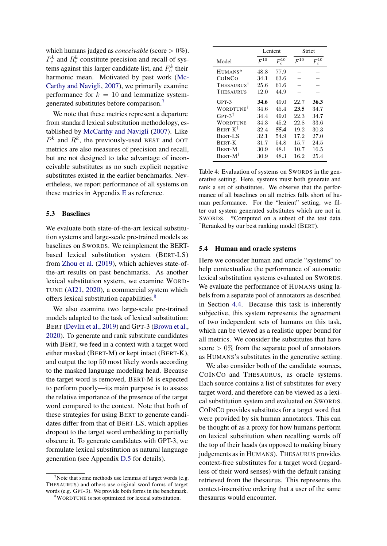which humans judged as *conceivable* (score  $> 0\%$ ).  $P_c^k$  and  $R_c^k$  constitute precision and recall of systems against this larger candidate list, and  $F_c^k$  their harmonic mean. Motivated by past work [\(Mc-](#page-10-1)[Carthy and Navigli,](#page-10-1) [2007\)](#page-10-1), we primarily examine performance for  $k = 10$  and lemmatize systemgenerated substitutes before comparison.[7](#page-6-0)

We note that these metrics represent a departure from standard lexical substitution methodology, established by [McCarthy and Navigli](#page-10-1) [\(2007\)](#page-10-1). Like  $P^k$  and  $R^k$ , the previously-used BEST and OOT metrics are also measures of precision and recall, but are not designed to take advantage of inconceivable substitutes as no such explicit negative substitutes existed in the earlier benchmarks. Nevertheless, we report performance of all systems on these metrics in Appendix [E](#page-15-0) as reference.

#### 5.3 Baselines

We evaluate both state-of-the-art lexical substitution systems and large-scale pre-trained models as baselines on SWORDS. We reimplement the BERTbased lexical substitution system (BERT-LS) from [Zhou et al.](#page-10-4) [\(2019\)](#page-10-4), which achieves state-ofthe-art results on past benchmarks. As another lexical substitution system, we examine WORD-TUNE [\(AI21,](#page-9-11) [2020\)](#page-9-11), a commercial system which offers lexical substitution capabilities.[8](#page-6-1)

We also examine two large-scale pre-trained models adapted to the task of lexical substitution: BERT [\(Devlin et al.,](#page-9-5) [2019\)](#page-9-5) and GPT-3 [\(Brown et al.,](#page-9-6) [2020\)](#page-9-6). To generate and rank substitute candidates with BERT, we feed in a context with a target word either masked (BERT-M) or kept intact (BERT-K), and output the top 50 most likely words according to the masked language modeling head. Because the target word is removed, BERT-M is expected to perform poorly—its main purpose is to assess the relative importance of the presence of the target word compared to the context. Note that both of these strategies for using BERT to generate candidates differ from that of BERT-LS, which applies dropout to the target word embedding to partially obscure it. To generate candidates with GPT-3, we formulate lexical substitution as natural language generation (see Appendix [D.5](#page-14-1) for details).

<span id="page-6-2"></span>

|                              |          | Lenient    |          | Strict                                        |
|------------------------------|----------|------------|----------|-----------------------------------------------|
| Model                        | $F^{10}$ | $F_c^{10}$ | $F^{10}$ | $\mathcal{F}^{10}_\text{-}$<br>$\overline{C}$ |
| HUMANS*                      | 48.8     | 77.9       |          |                                               |
| COINCO                       | 34.1     | 63.6       |          |                                               |
| <b>THESAURUS<sup>T</sup></b> | 25.6     | 61.6       |          |                                               |
| THESAURUS                    | 12.0     | 44.9       |          |                                               |
| $GPT-3$                      | 34.6     | 49.0       | 22.7     | 36.3                                          |
| WORDTUNE <sup>†</sup>        | 34.6     | 45.4       | 23.5     | 34.7                                          |
| GPT- $3^{\dagger}$           | 34.4     | 49.0       | 22.3     | 34.7                                          |
| WORDTUNE                     | 34.3     | 45.2       | 22.8     | 33.6                                          |
| $BERT-K^{\dagger}$           | 32.4     | 55.4       | 19.2     | 30.3                                          |
| <b>BERT-LS</b>               | 32.1     | 54.9       | 17.2     | 27.0                                          |
| <b>BERT-K</b>                | 31.7     | 54.8       | 15.7     | 24.5                                          |
| <b>BERT-M</b>                | 30.9     | 48.1       | 10.7     | 16.5                                          |
| $BERT-M^{\dagger}$           | 30.9     | 48.3       | 16.2     | 25.4                                          |

Table 4: Evaluation of systems on SWORDS in the generative setting. Here, systems must both generate and rank a set of substitutes. We observe that the performance of all baselines on all metrics falls short of human performance. For the "lenient" setting, we filter out system generated substitutes which are not in SWORDS. \*Computed on a subset of the test data. †Reranked by our best ranking model (BERT).

#### 5.4 Human and oracle systems

Here we consider human and oracle "systems" to help contextualize the performance of automatic lexical substitution systems evaluated on SWORDS. We evaluate the performance of HUMANS using labels from a separate pool of annotators as described in Section [4.4.](#page-5-0) Because this task is inherently subjective, this system represents the agreement of two independent sets of humans on this task, which can be viewed as a realistic upper bound for all metrics. We consider the substitutes that have score  $> 0\%$  from the separate pool of annotators as HUMANS's substitutes in the generative setting.

We also consider both of the candidate sources, COINCO and THESAURUS, as oracle systems. Each source contains a list of substitutes for every target word, and therefore can be viewed as a lexical substitution system and evaluated on SWORDS. COINCO provides substitutes for a target word that were provided by six human annotators. This can be thought of as a proxy for how humans perform on lexical substitution when recalling words off the top of their heads (as opposed to making binary judgements as in HUMANS). THESAURUS provides context-free substitutes for a target word (regardless of their word senses) with the default ranking retrieved from the thesaurus. This represents the context-insensitive ordering that a user of the same thesaurus would encounter.

<span id="page-6-0"></span><sup>&</sup>lt;sup>7</sup>Note that some methods use lemmas of target words (e.g. THESAURUS) and others use original word forms of target words (e.g. GPT-3). We provide both forms in the benchmark.

<span id="page-6-1"></span><sup>8</sup>WORDTUNE is not optimized for lexical substitution.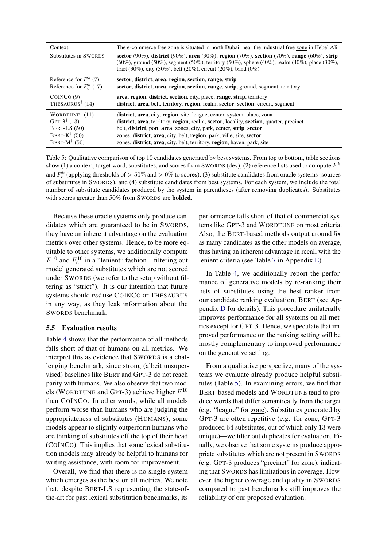<span id="page-7-0"></span>

| Context                                        | The e-commerce free zone is situated in north Dubai, near the industrial free zone in Hebel Ali                                                                                                                                                            |
|------------------------------------------------|------------------------------------------------------------------------------------------------------------------------------------------------------------------------------------------------------------------------------------------------------------|
| Substitutes in SWORDS                          | sector (90%), district (90%), area (90%), region (70%), section (70%), range (60%), strip<br>(60%), ground (50%), segment (50%), territory (50%), sphere (40%), realm (40%), place (30%),<br>tract (30%), city (30%), belt (20%), circuit (20%), band (0%) |
| Reference for $F^k$ (7)                        | sector, district, area, region, section, range, strip                                                                                                                                                                                                      |
| Reference for $F_c^k$ (17)                     | sector, district, area, region, section, range, strip, ground, segment, territory                                                                                                                                                                          |
| COINCO(9)                                      | area, region, district, section, city, place, range, strip, territory                                                                                                                                                                                      |
| THESAURUS <sup><math>\dagger</math></sup> (14) | district, area, belt, territory, region, realm, sector, section, circuit, segment                                                                                                                                                                          |
| WORDTUNE <sup><math>\dagger</math></sup> (11)  | district, area, city, region, site, league, center, system, place, zona                                                                                                                                                                                    |
| GPT-3 <sup><math>\dagger</math></sup> (13)     | district, area, territory, region, realm, sector, locality, section, quarter, precinct                                                                                                                                                                     |
| BERT-LS $(50)$                                 | belt, district, port, area, zones, city, park, center, strip, sector                                                                                                                                                                                       |
| BERT- $K^{\dagger}$ (50)                       | zones, district, area, city, belt, region, park, ville, site, sector                                                                                                                                                                                       |
| BERT- $M^{\dagger}$ (50)                       | zones, district, area, city, belt, territory, region, haven, park, site                                                                                                                                                                                    |

Table 5: Qualitative comparison of top 10 candidates generated by best systems. From top to bottom, table sections show (1) a context, target word, substitutes, and scores from SWORDS (dev), (2) reference lists used to compute  $F^k$ and  $F_c^k$  (applying thresholds of  $> 50\%$  and  $> 0\%$  to scores), (3) substitute candidates from oracle systems (sources of substitutes in SWORDS), and (4) substitute candidates from best systems. For each system, we include the total number of substitute candidates produced by the system in parentheses (after removing duplicates). Substitutes with scores greater than 50% from SWORDS are **bolded**.

Because these oracle systems only produce candidates which are guaranteed to be in SWORDS, they have an inherent advantage on the evaluation metrics over other systems. Hence, to be more equitable to other systems, we additionally compute  $F^{10}$  and  $F_c^{10}$  in a "lenient" fashion—filtering out model generated substitutes which are not scored under SWORDS (we refer to the setup without filtering as "strict"). It is our intention that future systems should *not* use COINCO or THESAURUS in any way, as they leak information about the SWORDS benchmark.

### 5.5 Evaluation results

Table [4](#page-6-2) shows that the performance of all methods falls short of that of humans on all metrics. We interpret this as evidence that SWORDS is a challenging benchmark, since strong (albeit unsupervised) baselines like BERT and GPT-3 do not reach parity with humans. We also observe that two models (WORDTUNE and GPT-3) achieve higher  $F^{10}$ than COINCO. In other words, while all models perform worse than humans who are judging the appropriateness of substitutes (HUMANS), some models appear to slightly outperform humans who are thinking of substitutes off the top of their head (COINCO). This implies that some lexical substitution models may already be helpful to humans for writing assistance, with room for improvement.

Overall, we find that there is no single system which emerges as the best on all metrics. We note that, despite BERT-LS representing the state-ofthe-art for past lexical substitution benchmarks, its

performance falls short of that of commercial systems like GPT-3 and WORDTUNE on most criteria. Also, the BERT-based methods output around 5x as many candidates as the other models on average, thus having an inherent advantage in recall with the lenient criteria (see Table [7](#page-16-0) in Appendix [E\)](#page-15-0).

In Table [4,](#page-6-2) we additionally report the performance of generative models by re-ranking their lists of substitutes using the best ranker from our candidate ranking evaluation, BERT (see Appendix [D](#page-14-0) for details). This procedure unilaterally improves performance for all systems on all metrics except for GPT-3. Hence, we speculate that improved performance on the ranking setting will be mostly complementary to improved performance on the generative setting.

From a qualitative perspective, many of the systems we evaluate already produce helpful substitutes (Table [5\)](#page-7-0). In examining errors, we find that BERT-based models and WORDTUNE tend to produce words that differ semantically from the target (e.g. "league" for zone). Substitutes generated by GPT-3 are often repetitive (e.g. for zone, GPT-3 produced 64 substitutes, out of which only 13 were unique)—we filter out duplicates for evaluation. Finally, we observe that some systems produce appropriate substitutes which are not present in SWORDS (e.g. GPT-3 produces "precinct" for zone), indicating that SWORDS has limitations in coverage. However, the higher coverage and quality in SWORDS compared to past benchmarks still improves the reliability of our proposed evaluation.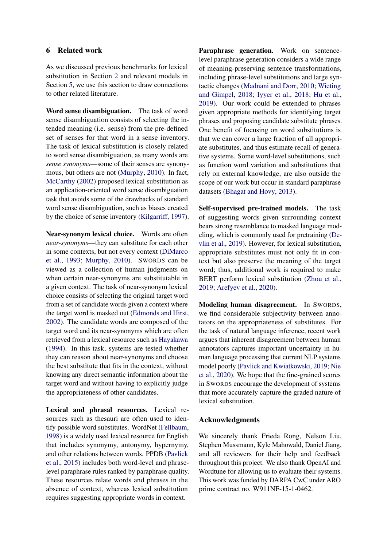## 6 Related work

As we discussed previous benchmarks for lexical substitution in Section [2](#page-1-3) and relevant models in Section [5,](#page-5-5) we use this section to draw connections to other related literature.

Word sense disambiguation. The task of word sense disambiguation consists of selecting the intended meaning (i.e. sense) from the pre-defined set of senses for that word in a sense inventory. The task of lexical substitution is closely related to word sense disambiguation, as many words are *sense synonyms*—some of their senses are synonymous, but others are not [\(Murphy,](#page-10-10) [2010\)](#page-10-10). In fact, [McCarthy](#page-10-0) [\(2002\)](#page-10-0) proposed lexical substitution as an application-oriented word sense disambiguation task that avoids some of the drawbacks of standard word sense disambiguation, such as biases created by the choice of sense inventory [\(Kilgarriff,](#page-9-12) [1997\)](#page-9-12).

Near-synonym lexical choice. Words are often *near-synonyms*—they can substitute for each other in some contexts, but not every context [\(DiMarco](#page-9-13) [et al.,](#page-9-13) [1993;](#page-9-13) [Murphy,](#page-10-10) [2010\)](#page-10-10). SWORDS can be viewed as a collection of human judgments on when certain near-synonyms are substitutable in a given context. The task of near-synonym lexical choice consists of selecting the original target word from a set of candidate words given a context where the target word is masked out [\(Edmonds and Hirst,](#page-9-14) [2002\)](#page-9-14). The candidate words are composed of the target word and its near-synonyms which are often retrieved from a lexical resource such as [Hayakawa](#page-9-15) [\(1994\)](#page-9-15). In this task, systems are tested whether they can reason about near-synonyms and choose the best substitute that fits in the context, without knowing any direct semantic information about the target word and without having to explicitly judge the appropriateness of other candidates.

Lexical and phrasal resources. Lexical resources such as thesauri are often used to identify possible word substitutes. WordNet [\(Fellbaum,](#page-9-16) [1998\)](#page-9-16) is a widely used lexical resource for English that includes synonymy, antonymy, hypernymy, and other relations between words. PPDB [\(Pavlick](#page-10-11) [et al.,](#page-10-11) [2015\)](#page-10-11) includes both word-level and phraselevel paraphrase rules ranked by paraphrase quality. These resources relate words and phrases in the absence of context, whereas lexical substitution requires suggesting appropriate words in context.

Paraphrase generation. Work on sentencelevel paraphrase generation considers a wide range of meaning-preserving sentence transformations, including phrase-level substitutions and large syntactic changes [\(Madnani and Dorr,](#page-10-12) [2010;](#page-10-12) [Wieting](#page-10-13) [and Gimpel,](#page-10-13) [2018;](#page-10-13) [Iyyer et al.,](#page-9-17) [2018;](#page-9-17) [Hu et al.,](#page-9-18) [2019\)](#page-9-18). Our work could be extended to phrases given appropriate methods for identifying target phrases and proposing candidate substitute phrases. One benefit of focusing on word substitutions is that we can cover a large fraction of all appropriate substitutes, and thus estimate recall of generative systems. Some word-level substitutions, such as function word variation and substitutions that rely on external knowledge, are also outside the scope of our work but occur in standard paraphrase datasets [\(Bhagat and Hovy,](#page-9-19) [2013\)](#page-9-19).

Self-supervised pre-trained models. The task of suggesting words given surrounding context bears strong resemblance to masked language modeling, which is commonly used for pretraining [\(De](#page-9-5)[vlin et al.,](#page-9-5) [2019\)](#page-9-5). However, for lexical substitution, appropriate substitutes must not only fit in context but also preserve the meaning of the target word; thus, additional work is required to make BERT perform lexical substitution [\(Zhou et al.,](#page-10-4) [2019;](#page-10-4) [Arefyev et al.,](#page-9-3) [2020\)](#page-9-3).

Modeling human disagreement. In SWORDS, we find considerable subjectivity between annotators on the appropriateness of substitutes. For the task of natural language inference, recent work argues that inherent disagreement between human annotators captures important uncertainty in human language processing that current NLP systems model poorly [\(Pavlick and Kwiatkowski,](#page-10-14) [2019;](#page-10-14) [Nie](#page-10-15) [et al.,](#page-10-15) [2020\)](#page-10-15). We hope that the fine-grained scores in SWORDS encourage the development of systems that more accurately capture the graded nature of lexical substitution.

### Acknowledgments

We sincerely thank Frieda Rong, Nelson Liu, Stephen Mussmann, Kyle Mahowald, Daniel Jiang, and all reviewers for their help and feedback throughout this project. We also thank OpenAI and Wordtune for allowing us to evaluate their systems. This work was funded by DARPA CwC under ARO prime contract no. W911NF-15-1-0462.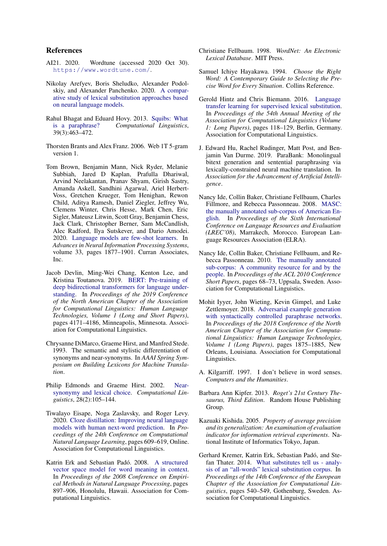### References

- <span id="page-9-11"></span>AI21. 2020. Wordtune (accessed 2020 Oct 30). <https://www.wordtune.com/>.
- <span id="page-9-3"></span>Nikolay Arefyev, Boris Sheludko, Alexander Podolskiy, and Alexander Panchenko. 2020. [A compar](http://arxiv.org/abs/2006.00031)[ative study of lexical substitution approaches based](http://arxiv.org/abs/2006.00031) [on neural language models.](http://arxiv.org/abs/2006.00031)
- <span id="page-9-19"></span>Rahul Bhagat and Eduard Hovy. 2013. [Squibs: What](https://doi.org/10.1162/COLI_a_00166) [is a paraphrase?](https://doi.org/10.1162/COLI_a_00166) *Computational Linguistics*, 39(3):463–472.
- <span id="page-9-10"></span>Thorsten Brants and Alex Franz. 2006. Web 1T 5-gram version 1.
- <span id="page-9-6"></span>Tom Brown, Benjamin Mann, Nick Ryder, Melanie Subbiah, Jared D Kaplan, Prafulla Dhariwal, Arvind Neelakantan, Pranav Shyam, Girish Sastry, Amanda Askell, Sandhini Agarwal, Ariel Herbert-Voss, Gretchen Krueger, Tom Henighan, Rewon Child, Aditya Ramesh, Daniel Ziegler, Jeffrey Wu, Clemens Winter, Chris Hesse, Mark Chen, Eric Sigler, Mateusz Litwin, Scott Gray, Benjamin Chess, Jack Clark, Christopher Berner, Sam McCandlish, Alec Radford, Ilya Sutskever, and Dario Amodei. 2020. [Language models are few-shot learners.](https://proceedings.neurips.cc/paper/2020/file/1457c0d6bfcb4967418bfb8ac142f64a-Paper.pdf) In *Advances in Neural Information Processing Systems*, volume 33, pages 1877–1901. Curran Associates, Inc.
- <span id="page-9-5"></span>Jacob Devlin, Ming-Wei Chang, Kenton Lee, and Kristina Toutanova. 2019. [BERT: Pre-training of](https://doi.org/10.18653/v1/N19-1423) [deep bidirectional transformers for language under](https://doi.org/10.18653/v1/N19-1423)[standing.](https://doi.org/10.18653/v1/N19-1423) In *Proceedings of the 2019 Conference of the North American Chapter of the Association for Computational Linguistics: Human Language Technologies, Volume 1 (Long and Short Papers)*, pages 4171–4186, Minneapolis, Minnesota. Association for Computational Linguistics.
- <span id="page-9-13"></span>Chrysanne DiMarco, Graeme Hirst, and Manfred Stede. 1993. The semantic and stylistic differentiation of synonyms and near-synonyms. In *AAAI Spring Symposium on Building Lexicons for Machine Translation*.
- <span id="page-9-14"></span>Philip Edmonds and Graeme Hirst. 2002. [Near](https://doi.org/10.1162/089120102760173625)[synonymy and lexical choice.](https://doi.org/10.1162/089120102760173625) *Computational Linguistics*, 28(2):105–144.
- <span id="page-9-9"></span>Tiwalayo Eisape, Noga Zaslavsky, and Roger Levy. 2020. [Cloze distillation: Improving neural language](https://doi.org/10.18653/v1/2020.conll-1.49) [models with human next-word prediction.](https://doi.org/10.18653/v1/2020.conll-1.49) In *Proceedings of the 24th Conference on Computational Natural Language Learning*, pages 609–619, Online. Association for Computational Linguistics.
- <span id="page-9-0"></span>Katrin Erk and Sebastian Padó. 2008. [A structured](https://www.aclweb.org/anthology/D08-1094) [vector space model for word meaning in context.](https://www.aclweb.org/anthology/D08-1094) In *Proceedings of the 2008 Conference on Empirical Methods in Natural Language Processing*, pages 897–906, Honolulu, Hawaii. Association for Computational Linguistics.
- <span id="page-9-16"></span>Christiane Fellbaum. 1998. *WordNet: An Electronic Lexical Database*. MIT Press.
- <span id="page-9-15"></span>Samuel Ichiye Hayakawa. 1994. *Choose the Right Word: A Contemporary Guide to Selecting the Precise Word for Every Situation*. Collins Reference.
- <span id="page-9-2"></span>Gerold Hintz and Chris Biemann. 2016. [Language](https://doi.org/10.18653/v1/P16-1012) [transfer learning for supervised lexical substitution.](https://doi.org/10.18653/v1/P16-1012) In *Proceedings of the 54th Annual Meeting of the Association for Computational Linguistics (Volume 1: Long Papers)*, pages 118–129, Berlin, Germany. Association for Computational Linguistics.
- <span id="page-9-18"></span>J. Edward Hu, Rachel Rudinger, Matt Post, and Benjamin Van Durme. 2019. ParaBank: Monolingual bitext generation and sentential paraphrasing via lexically-constrained neural machine translation. In *Association for the Advancement of Artificial Intelligence*.
- <span id="page-9-7"></span>Nancy Ide, Collin Baker, Christiane Fellbaum, Charles Fillmore, and Rebecca Passonneau. 2008. [MASC:](http://www.lrec-conf.org/proceedings/lrec2008/pdf/617_paper.pdf) [the manually annotated sub-corpus of American En](http://www.lrec-conf.org/proceedings/lrec2008/pdf/617_paper.pdf)[glish.](http://www.lrec-conf.org/proceedings/lrec2008/pdf/617_paper.pdf) In *Proceedings of the Sixth International Conference on Language Resources and Evaluation (LREC'08)*, Marrakech, Morocco. European Language Resources Association (ELRA).
- <span id="page-9-8"></span>Nancy Ide, Collin Baker, Christiane Fellbaum, and Rebecca Passonneau. 2010. [The manually annotated](https://www.aclweb.org/anthology/P10-2013) [sub-corpus: A community resource for and by the](https://www.aclweb.org/anthology/P10-2013) [people.](https://www.aclweb.org/anthology/P10-2013) In *Proceedings of the ACL 2010 Conference Short Papers*, pages 68–73, Uppsala, Sweden. Association for Computational Linguistics.
- <span id="page-9-17"></span>Mohit Iyyer, John Wieting, Kevin Gimpel, and Luke Zettlemoyer. 2018. [Adversarial example generation](https://doi.org/10.18653/v1/N18-1170) [with syntactically controlled paraphrase networks.](https://doi.org/10.18653/v1/N18-1170) In *Proceedings of the 2018 Conference of the North American Chapter of the Association for Computational Linguistics: Human Language Technologies, Volume 1 (Long Papers)*, pages 1875–1885, New Orleans, Louisiana. Association for Computational Linguistics.
- <span id="page-9-12"></span>A. Kilgarriff. 1997. I don't believe in word senses. *Computers and the Humanities*.
- <span id="page-9-4"></span>Barbara Ann Kipfer. 2013. *Roget's 21st Century Thesaurus, Third Edition*. Random House Publishing Group.
- <span id="page-9-20"></span>Kazuaki Kishida. 2005. *Property of average precision and its generalization: An examination of evaluation indicator for information retrieval experiments*. National Institute of Informatics Tokyo, Japan.
- <span id="page-9-1"></span>Gerhard Kremer, Katrin Erk, Sebastian Padó, and Stefan Thater. 2014. [What substitutes tell us - analy](https://doi.org/10.3115/v1/E14-1057)[sis of an "all-words" lexical substitution corpus.](https://doi.org/10.3115/v1/E14-1057) In *Proceedings of the 14th Conference of the European Chapter of the Association for Computational Linguistics*, pages 540–549, Gothenburg, Sweden. Association for Computational Linguistics.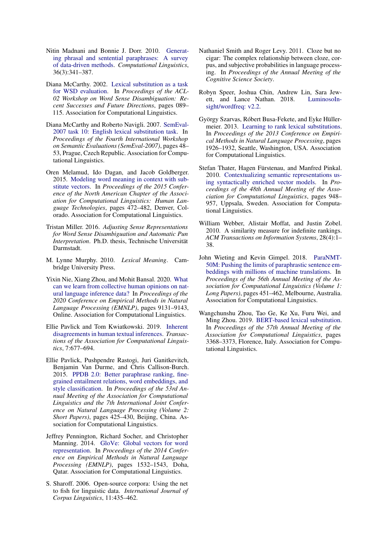- <span id="page-10-12"></span>Nitin Madnani and Bonnie J. Dorr. 2010. [Generat](https://doi.org/10.1162/coli_a_00002)[ing phrasal and sentential paraphrases: A survey](https://doi.org/10.1162/coli_a_00002) [of data-driven methods.](https://doi.org/10.1162/coli_a_00002) *Computational Linguistics*, 36(3):341–387.
- <span id="page-10-0"></span>Diana McCarthy. 2002. [Lexical substitution as a task](https://doi.org/10.3115/1118675.1118691) [for WSD evaluation.](https://doi.org/10.3115/1118675.1118691) In *Proceedings of the ACL-02 Workshop on Word Sense Disambiguation: Recent Successes and Future Directions*, pages 089– 115. Association for Computational Linguistics.
- <span id="page-10-1"></span>Diana McCarthy and Roberto Navigli. 2007. [SemEval-](https://www.aclweb.org/anthology/S07-1009)[2007 task 10: English lexical substitution task.](https://www.aclweb.org/anthology/S07-1009) In *Proceedings of the Fourth International Workshop on Semantic Evaluations (SemEval-2007)*, pages 48– 53, Prague, Czech Republic. Association for Computational Linguistics.
- <span id="page-10-3"></span>Oren Melamud, Ido Dagan, and Jacob Goldberger. 2015. [Modeling word meaning in context with sub](https://doi.org/10.3115/v1/N15-1050)[stitute vectors.](https://doi.org/10.3115/v1/N15-1050) In *Proceedings of the 2015 Conference of the North American Chapter of the Association for Computational Linguistics: Human Language Technologies*, pages 472–482, Denver, Colorado. Association for Computational Linguistics.
- <span id="page-10-5"></span>Tristan Miller. 2016. *Adjusting Sense Representations for Word Sense Disambiguation and Automatic Pun Interpretation*. Ph.D. thesis, Technische Universität Darmstadt.
- <span id="page-10-10"></span>M. Lynne Murphy. 2010. *Lexical Meaning*. Cambridge University Press.
- <span id="page-10-15"></span>Yixin Nie, Xiang Zhou, and Mohit Bansal. 2020. [What](https://doi.org/10.18653/v1/2020.emnlp-main.734) [can we learn from collective human opinions on nat](https://doi.org/10.18653/v1/2020.emnlp-main.734)[ural language inference data?](https://doi.org/10.18653/v1/2020.emnlp-main.734) In *Proceedings of the 2020 Conference on Empirical Methods in Natural Language Processing (EMNLP)*, pages 9131–9143, Online. Association for Computational Linguistics.
- <span id="page-10-14"></span>Ellie Pavlick and Tom Kwiatkowski. 2019. [Inherent](https://doi.org/10.1162/tacl_a_00293) [disagreements in human textual inferences.](https://doi.org/10.1162/tacl_a_00293) *Transactions of the Association for Computational Linguistics*, 7:677–694.
- <span id="page-10-11"></span>Ellie Pavlick, Pushpendre Rastogi, Juri Ganitkevitch, Benjamin Van Durme, and Chris Callison-Burch. 2015. [PPDB 2.0: Better paraphrase ranking, fine](https://doi.org/10.3115/v1/P15-2070)[grained entailment relations, word embeddings, and](https://doi.org/10.3115/v1/P15-2070) [style classification.](https://doi.org/10.3115/v1/P15-2070) In *Proceedings of the 53rd Annual Meeting of the Association for Computational Linguistics and the 7th International Joint Conference on Natural Language Processing (Volume 2: Short Papers)*, pages 425–430, Beijing, China. Association for Computational Linguistics.
- <span id="page-10-17"></span>Jeffrey Pennington, Richard Socher, and Christopher Manning. 2014. [GloVe: Global vectors for word](https://doi.org/10.3115/v1/D14-1162) [representation.](https://doi.org/10.3115/v1/D14-1162) In *Proceedings of the 2014 Conference on Empirical Methods in Natural Language Processing (EMNLP)*, pages 1532–1543, Doha, Qatar. Association for Computational Linguistics.
- <span id="page-10-6"></span>S. Sharoff. 2006. Open-source corpora: Using the net to fish for linguistic data. *International Journal of Corpus Linguistics*, 11:435–462.
- <span id="page-10-7"></span>Nathaniel Smith and Roger Levy. 2011. Cloze but no cigar: The complex relationship between cloze, corpus, and subjective probabilities in language processing. In *Proceedings of the Annual Meeting of the Cognitive Science Society*.
- <span id="page-10-8"></span>Robyn Speer, Joshua Chin, Andrew Lin, Sara Jewett, and Lance Nathan. 2018. [LuminosoIn](https://doi.org/10.5281/zenodo.1443582)[sight/wordfreq: v2.2.](https://doi.org/10.5281/zenodo.1443582)
- <span id="page-10-2"></span>György Szarvas, Róbert Busa-Fekete, and Eyke Hüllermeier. 2013. [Learning to rank lexical substitutions.](https://www.aclweb.org/anthology/D13-1198) In *Proceedings of the 2013 Conference on Empirical Methods in Natural Language Processing*, pages 1926–1932, Seattle, Washington, USA. Association for Computational Linguistics.
- <span id="page-10-9"></span>Stefan Thater, Hagen Fürstenau, and Manfred Pinkal. 2010. [Contextualizing semantic representations us](https://www.aclweb.org/anthology/P10-1097)[ing syntactically enriched vector models.](https://www.aclweb.org/anthology/P10-1097) In *Proceedings of the 48th Annual Meeting of the Association for Computational Linguistics*, pages 948– 957, Uppsala, Sweden. Association for Computational Linguistics.
- <span id="page-10-16"></span>William Webber, Alistair Moffat, and Justin Zobel. 2010. A similarity measure for indefinite rankings. *ACM Transactions on Information Systems*, 28(4):1– 38.
- <span id="page-10-13"></span>John Wieting and Kevin Gimpel. 2018. [ParaNMT-](https://doi.org/10.18653/v1/P18-1042)[50M: Pushing the limits of paraphrastic sentence em](https://doi.org/10.18653/v1/P18-1042)[beddings with millions of machine translations.](https://doi.org/10.18653/v1/P18-1042) In *Proceedings of the 56th Annual Meeting of the Association for Computational Linguistics (Volume 1: Long Papers)*, pages 451–462, Melbourne, Australia. Association for Computational Linguistics.
- <span id="page-10-4"></span>Wangchunshu Zhou, Tao Ge, Ke Xu, Furu Wei, and Ming Zhou. 2019. [BERT-based lexical substitution.](https://doi.org/10.18653/v1/P19-1328) In *Proceedings of the 57th Annual Meeting of the Association for Computational Linguistics*, pages 3368–3373, Florence, Italy. Association for Computational Linguistics.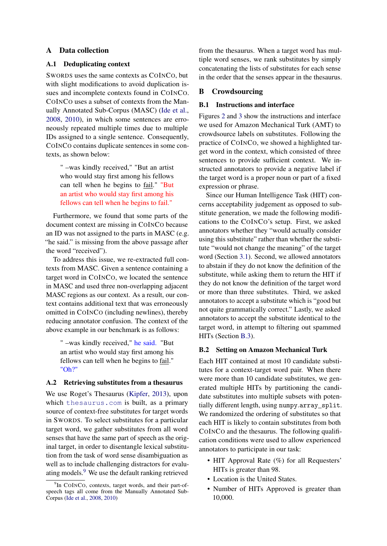## A Data collection

### <span id="page-11-0"></span>A.1 Deduplicating context

SWORDS uses the same contexts as COINCO, but with slight modifications to avoid duplication issues and incomplete contexts found in COINCO. COINCO uses a subset of contexts from the Manually Annotated Sub-Corpus (MASC) [\(Ide et al.,](#page-9-7) [2008,](#page-9-7) [2010\)](#page-9-8), in which some sentences are erroneously repeated multiple times due to multiple IDs assigned to a single sentence. Consequently, COINCO contains duplicate sentences in some contexts, as shown below:

" –was kindly received," "But an artist who would stay first among his fellows can tell when he begins to fail." "But an artist who would stay first among his fellows can tell when he begins to fail."

Furthermore, we found that some parts of the document context are missing in COINCO because an ID was not assigned to the parts in MASC (e.g. "he said." is missing from the above passage after the word "received").

To address this issue, we re-extracted full contexts from MASC. Given a sentence containing a target word in COINCO, we located the sentence in MASC and used three non-overlapping adjacent MASC regions as our context. As a result, our context contains additional text that was erroneously omitted in COINCO (including newlines), thereby reducing annotator confusion. The context of the above example in our benchmark is as follows:

> " –was kindly received," he said. "But an artist who would stay first among his fellows can tell when he begins to fail." "Oh?"

### <span id="page-11-1"></span>A.2 Retrieving substitutes from a thesaurus

We use Roget's Thesaurus [\(Kipfer,](#page-9-4) [2013\)](#page-9-4), upon which <thesaurus.com> is built, as a primary source of context-free substitutes for target words in SWORDS. To select substitutes for a particular target word, we gather substitutes from all word senses that have the same part of speech as the original target, in order to disentangle lexical substitution from the task of word sense disambiguation as well as to include challenging distractors for evaluating models.[9](#page-11-3) We use the default ranking retrieved

from the thesaurus. When a target word has multiple word senses, we rank substitutes by simply concatenating the lists of substitutes for each sense in the order that the senses appear in the thesaurus.

## <span id="page-11-2"></span>B Crowdsourcing

#### B.1 Instructions and interface

Figures [2](#page-12-0) and [3](#page-13-1) show the instructions and interface we used for Amazon Mechanical Turk (AMT) to crowdsource labels on substitutes. Following the practice of COINCO, we showed a highlighted target word in the context, which consisted of three sentences to provide sufficient context. We instructed annotators to provide a negative label if the target word is a proper noun or part of a fixed expression or phrase.

Since our Human Intelligence Task (HIT) concerns acceptability judgement as opposed to substitute generation, we made the following modifications to the COINCO's setup. First, we asked annotators whether they "would actually consider using this substitute" rather than whether the substitute "would not change the meaning" of the target word (Section [3.1\)](#page-2-2). Second, we allowed annotators to abstain if they do not know the definition of the substitute, while asking them to return the HIT if they do not know the definition of the target word or more than three substitutes. Third, we asked annotators to accept a substitute which is "good but not quite grammatically correct." Lastly, we asked annotators to accept the substitute identical to the target word, in attempt to filtering out spammed HITs (Section [B.3\)](#page-12-1).

#### B.2 Setting on Amazon Mechanical Turk

Each HIT contained at most 10 candidate substitutes for a context-target word pair. When there were more than 10 candidate substitutes, we generated multiple HITs by partitioning the candidate substitutes into multiple subsets with potentially different length, using numpy.array\_split. We randomized the ordering of substitutes so that each HIT is likely to contain substitutes from both COINCO and the thesaurus. The following qualification conditions were used to allow experienced annotators to participate in our task:

- HIT Approval Rate (%) for all Requesters' HITs is greater than 98.
- Location is the United States.
- Number of HITs Approved is greater than 10,000.

<span id="page-11-3"></span><sup>&</sup>lt;sup>9</sup>In COINCO, contexts, target words, and their part-ofspeech tags all come from the Manually Annotated Sub-Corpus [\(Ide et al.,](#page-9-7) [2008,](#page-9-7) [2010\)](#page-9-8)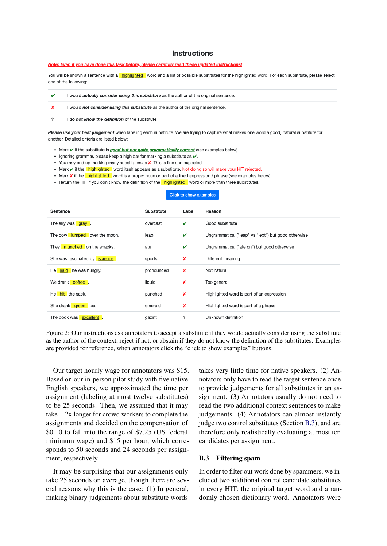### **Instructions**

### <span id="page-12-0"></span>Note: Even if you have done this task before, please carefully read these updated instructions!

You will be shown a sentence with a **highlighted** word and a list of possible substitutes for the highlighted word. For each substitute, please select one of the following:

|--|

I would not consider using this substitute as the author of the original sentence. ×

 $\overline{2}$ I do not know the definition of the substitute

Please use your best judgement when labeling each substitute. We are trying to capture what makes one word a good, natural substitute for another. Detailed criteria are listed below:

- Mark v if the substitute is good but not quite grammatically correct (see examples below).
- Ignoring grammar, please keep a high bar for marking a substitute as v.
- You may end up marking many substitutes as **X**. This is fine and expected.
- Mark v if the highlighted word itself appears as a substitute. Not doing so will make your HIT rejected.
- Mark **x** if the **highlighted** word is a proper noun or part of a fixed expression / phrase (see examples below).
- . Return the HIT if you don't know the definition of the highlighted word or more than three substitutes.

#### Click to show examples

| Sentence                       | <b>Substitute</b> | Label | Reason                                              |
|--------------------------------|-------------------|-------|-----------------------------------------------------|
| The sky was gray.              | overcast          | v     | Good substitute                                     |
| The cow jumped over the moon.  | leap              | v     | Ungrammatical ("leap" vs "lept") but good otherwise |
| They munched on the snacks.    | ate               | v     | Ungrammatical ("ate on") but good otherwise         |
| She was fascinated by science. | sports            | ×     | Different meaning                                   |
| He said he was hungry.         | pronounced        | ×     | Not natural                                         |
| We drank coffee.               | liquid            | ×     | Too general                                         |
| He hit the sack.               | punched           | ×     | Highlighted word is part of an expression           |
| She drank green tea.           | emerald           | ×     | Highlighted word is part of a phrase                |
| The book was excellent.        | gazint            | 2     | Unknown definition                                  |

Figure 2: Our instructions ask annotators to accept a substitute if they would actually consider using the substitute as the author of the context, reject if not, or abstain if they do not know the definition of the substitutes. Examples are provided for reference, when annotators click the "click to show examples" buttons.

Our target hourly wage for annotators was \$15. Based on our in-person pilot study with five native English speakers, we approximated the time per assignment (labeling at most twelve substitutes) to be 25 seconds. Then, we assumed that it may take 1-2x longer for crowd workers to complete the assignments and decided on the compensation of \$0.10 to fall into the range of \$7.25 (US federal minimum wage) and \$15 per hour, which corresponds to 50 seconds and 24 seconds per assignment, respectively.

It may be surprising that our assignments only take 25 seconds on average, though there are several reasons why this is the case: (1) In general, making binary judgements about substitute words

takes very little time for native speakers. (2) Annotators only have to read the target sentence once to provide judgements for all substitutes in an assignment. (3) Annotators usually do not need to read the two additional context sentences to make judgements. (4) Annotators can almost instantly judge two control substitutes (Section [B.3\)](#page-12-1), and are therefore only realistically evaluating at most ten candidates per assignment.

### <span id="page-12-1"></span>B.3 Filtering spam

In order to filter out work done by spammers, we included two additional control candidate substitutes in every HIT: the original target word and a randomly chosen dictionary word. Annotators were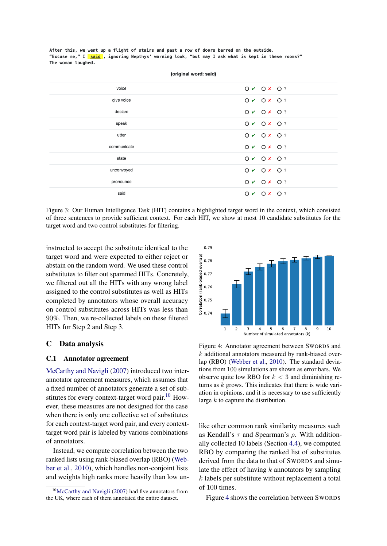<span id="page-13-1"></span>After this, we went up a flight of stairs and past a row of doors barred on the outside. "Excuse me," I said , ignoring Nepthys' warning look, "but may I ask what is kept in these rooms?" The woman laughed.

| voice       | $O \vee O X O ?$   |
|-------------|--------------------|
| give voice  | $O \vee O X O ?$   |
| declare     | $O \vee O X O ?$   |
| speak       | $O \vee O X O ?$   |
| utter       | $O \vee O X O ?$   |
| communicate | $O \vee O X O ?$   |
| state       | $O \vee O X$ $O$ ? |
| unconvoyed  | $O \vee O X O ?$   |
| pronounce   | $O \vee O X O ?$   |
| said        | $O \vee O X O ?$   |

(original word: said)

Figure 3: Our Human Intelligence Task (HIT) contains a highlighted target word in the context, which consisted of three sentences to provide sufficient context. For each HIT, we show at most 10 candidate substitutes for the target word and two control substitutes for filtering.

instructed to accept the substitute identical to the target word and were expected to either reject or abstain on the random word. We used these control substitutes to filter out spammed HITs. Concretely, we filtered out all the HITs with any wrong label assigned to the control substitutes as well as HITs completed by annotators whose overall accuracy on control substitutes across HITs was less than 90%. Then, we re-collected labels on these filtered HITs for Step 2 and Step 3.

### C Data analysis

### <span id="page-13-0"></span>C.1 Annotator agreement

[McCarthy and Navigli](#page-10-1) [\(2007\)](#page-10-1) introduced two interannotator agreement measures, which assumes that a fixed number of annotators generate a set of sub-stitutes for every context-target word pair.<sup>[10](#page-13-2)</sup> However, these measures are not designed for the case when there is only one collective set of substitutes for each context-target word pair, and every contexttarget word pair is labeled by various combinations of annotators.

Instead, we compute correlation between the two ranked lists using rank-biased overlap (RBO) [\(Web](#page-10-16)[ber et al.,](#page-10-16) [2010\)](#page-10-16), which handles non-conjoint lists and weights high ranks more heavily than low un-

<span id="page-13-3"></span>

Figure 4: Annotator agreement between SWORDS and k additional annotators measured by rank-biased overlap (RBO) [\(Webber et al.,](#page-10-16) [2010\)](#page-10-16). The standard deviations from 100 simulations are shown as error bars. We observe quite low RBO for  $k < 3$  and diminishing returns as  $k$  grows. This indicates that there is wide variation in opinions, and it is necessary to use sufficiently large  $k$  to capture the distribution.

like other common rank similarity measures such as Kendall's  $\tau$  and Spearman's  $\rho$ . With additionally collected 10 labels (Section [4.4\)](#page-5-0), we computed RBO by comparing the ranked list of substitutes derived from the data to that of SWORDS and simulate the effect of having  $k$  annotators by sampling k labels per substitute without replacement a total of 100 times.

Figure [4](#page-13-3) shows the correlation between SWORDS

<span id="page-13-2"></span><sup>&</sup>lt;sup>10</sup>[McCarthy and Navigli](#page-10-1) [\(2007\)](#page-10-1) had five annotators from the UK, where each of them annotated the entire dataset.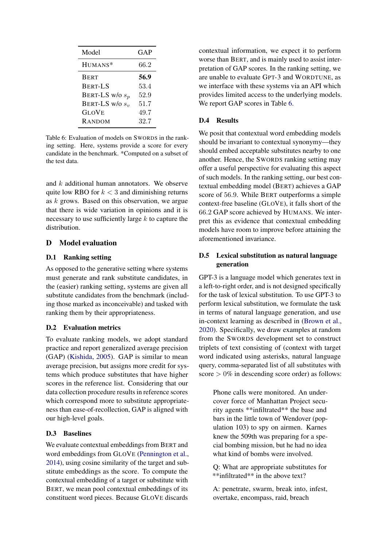<span id="page-14-2"></span>

| Model             | GAP  |
|-------------------|------|
| HUMANS*           | 66.2 |
| <b>BERT</b>       | 56.9 |
| <b>BERT-LS</b>    | 53.4 |
| BERT-LS w/o $s_p$ | 52.9 |
| BERT-LS w/o $s_v$ | 51.7 |
| <b>GLOVE</b>      | 49.7 |
| RANDOM            | 32.7 |

Table 6: Evaluation of models on SWORDS in the ranking setting. Here, systems provide a score for every candidate in the benchmark. \*Computed on a subset of the test data.

and k additional human annotators. We observe quite low RBO for  $k < 3$  and diminishing returns as k grows. Based on this observation, we argue that there is wide variation in opinions and it is necessary to use sufficiently large  $k$  to capture the distribution.

## <span id="page-14-0"></span>D Model evaluation

#### D.1 Ranking setting

As opposed to the generative setting where systems must generate and rank substitute candidates, in the (easier) ranking setting, systems are given all substitute candidates from the benchmark (including those marked as inconceivable) and tasked with ranking them by their appropriateness.

### D.2 Evaluation metrics

To evaluate ranking models, we adopt standard practice and report generalized average precision (GAP) [\(Kishida,](#page-9-20) [2005\)](#page-9-20). GAP is similar to mean average precision, but assigns more credit for systems which produce substitutes that have higher scores in the reference list. Considering that our data collection procedure results in reference scores which correspond more to substitute appropriateness than ease-of-recollection, GAP is aligned with our high-level goals.

## D.3 Baselines

We evaluate contextual embeddings from BERT and word embeddings from GLOVE [\(Pennington et al.,](#page-10-17) [2014\)](#page-10-17), using cosine similarity of the target and substitute embeddings as the score. To compute the contextual embedding of a target or substitute with BERT, we mean pool contextual embeddings of its constituent word pieces. Because GLOVE discards

contextual information, we expect it to perform worse than BERT, and is mainly used to assist interpretation of GAP scores. In the ranking setting, we are unable to evaluate GPT-3 and WORDTUNE, as we interface with these systems via an API which provides limited access to the underlying models. We report GAP scores in Table [6.](#page-14-2)

### D.4 Results

We posit that contextual word embedding models should be invariant to contextual synonymy—they should embed acceptable substitutes nearby to one another. Hence, the SWORDS ranking setting may offer a useful perspective for evaluating this aspect of such models. In the ranking setting, our best contextual embedding model (BERT) achieves a GAP score of 56.9. While BERT outperforms a simple context-free baseline (GLOVE), it falls short of the 66.2 GAP score achieved by HUMANS. We interpret this as evidence that contextual embedding models have room to improve before attaining the aforementioned invariance.

## <span id="page-14-1"></span>D.5 Lexical substitution as natural language generation

GPT-3 is a language model which generates text in a left-to-right order, and is not designed specifically for the task of lexical substitution. To use GPT-3 to perform lexical substitution, we formulate the task in terms of natural language generation, and use in-context learning as described in [\(Brown et al.,](#page-9-6) [2020\)](#page-9-6). Specifically, we draw examples at random from the SWORDS development set to construct triplets of text consisting of (context with target word indicated using asterisks, natural language query, comma-separated list of all substitutes with score  $> 0\%$  in descending score order) as follows:

> Phone calls were monitored. An undercover force of Manhattan Project security agents \*\*infiltrated\*\* the base and bars in the little town of Wendover (population 103) to spy on airmen. Karnes knew the 509th was preparing for a special bombing mission, but he had no idea what kind of bombs were involved.

> Q: What are appropriate substitutes for \*\*infiltrated\*\* in the above text?

> A: penetrate, swarm, break into, infest, overtake, encompass, raid, breach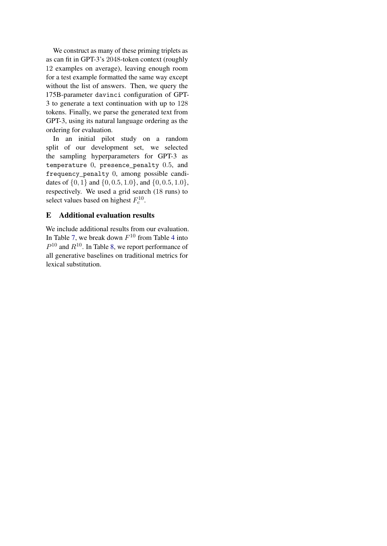We construct as many of these priming triplets as as can fit in GPT-3's 2048-token context (roughly 12 examples on average), leaving enough room for a test example formatted the same way except without the list of answers. Then, we query the 175B-parameter davinci configuration of GPT-3 to generate a text continuation with up to 128 tokens. Finally, we parse the generated text from GPT-3, using its natural language ordering as the ordering for evaluation.

In an initial pilot study on a random split of our development set, we selected the sampling hyperparameters for GPT-3 as temperature 0, presence\_penalty 0.5, and frequency\_penalty 0, among possible candidates of  $\{0, 1\}$  and  $\{0, 0.5, 1.0\}$ , and  $\{0, 0.5, 1.0\}$ , respectively. We used a grid search (18 runs) to select values based on highest  $F_c^{10}$ .

# <span id="page-15-0"></span>E Additional evaluation results

We include additional results from our evaluation. In Table [7,](#page-16-0) we break down  $F^{10}$  from Table [4](#page-6-2) into  $P^{10}$  and  $R^{10}$ . In Table [8,](#page-17-0) we report performance of all generative baselines on traditional metrics for lexical substitution.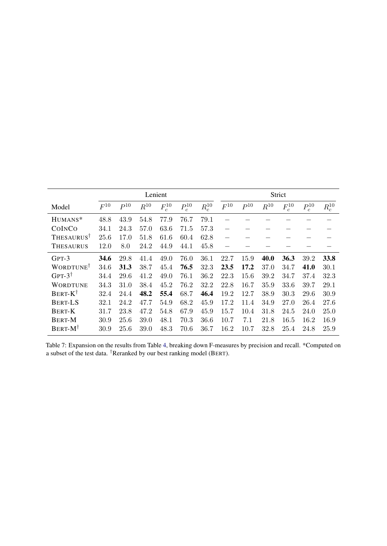<span id="page-16-0"></span>

|                              | Lenient  |          |          |            |            | Strict     |                          |          |                  |                      |            |            |
|------------------------------|----------|----------|----------|------------|------------|------------|--------------------------|----------|------------------|----------------------|------------|------------|
| Model                        | $F^{10}$ | $P^{10}$ | $R^{10}$ | $F_c^{10}$ | $P_c^{10}$ | $R_c^{10}$ | $F^{10}$                 | $P^{10}$ | $\smash{R^{10}}$ | $\mathcal{F}_c^{10}$ | $P_c^{10}$ | $R_c^{10}$ |
| HUMANS*                      | 48.8     | 43.9     | 54.8     | 77.9       | 76.7       | 79.1       |                          |          |                  |                      |            |            |
| COINCO                       | 34.1     | 24.3     | 57.0     | 63.6       | 71.5       | 57.3       | $\overline{\phantom{m}}$ |          |                  |                      |            |            |
| THESAURUS <sup>T</sup>       | 25.6     | 17.0     | 51.8     | 61.6       | 60.4       | 62.8       | $\overline{\phantom{0}}$ |          |                  |                      |            |            |
| <b>THESAURUS</b>             | 12.0     | 8.0      | 24.2     | 44.9       | 44.1       | 45.8       |                          |          |                  |                      |            |            |
| $GPT-3$                      | 34.6     | 29.8     | 41.4     | 49.0       | 76.0       | 36.1       | 22.7                     | 15.9     | 40.0             | 36.3                 | 39.2       | 33.8       |
| <b>WORDTUNE</b> <sup>T</sup> | 34.6     | 31.3     | 38.7     | 45.4       | 76.5       | 32.3       | 23.5                     | 17.2     | 37.0             | 34.7                 | 41.0       | 30.1       |
| GPT- $3^{\dagger}$           | 34.4     | 29.6     | 41.2     | 49.0       | 76.1       | 36.2       | 22.3                     | 15.6     | 39.2             | 34.7                 | 37.4       | 32.3       |
| <b>WORDTUNE</b>              | 34.3     | 31.0     | 38.4     | 45.2       | 76.2       | 32.2       | 22.8                     | 16.7     | 35.9             | 33.6                 | 39.7       | 29.1       |
| $BERT-K^{\dagger}$           | 32.4     | 24.4     | 48.2     | 55.4       | 68.7       | 46.4       | 19.2                     | 12.7     | 38.9             | 30.3                 | 29.6       | 30.9       |
| <b>BERT-LS</b>               | 32.1     | 24.2     | 47.7     | 54.9       | 68.2       | 45.9       | 17.2                     | 11.4     | 34.9             | 27.0                 | 26.4       | 27.6       |
| <b>BERT-K</b>                | 31.7     | 23.8     | 47.2     | 54.8       | 67.9       | 45.9       | 15.7                     | 10.4     | 31.8             | 24.5                 | 24.0       | 25.0       |
| <b>BERT-M</b>                | 30.9     | 25.6     | 39.0     | 48.1       | 70.3       | 36.6       | 10.7                     | 7.1      | 21.8             | 16.5                 | 16.2       | 16.9       |
| $BERT-M^{\dagger}$           | 30.9     | 25.6     | 39.0     | 48.3       | 70.6       | 36.7       | 16.2                     | 10.7     | 32.8             | 25.4                 | 24.8       | 25.9       |

Table 7: Expansion on the results from Table [4,](#page-6-2) breaking down F-measures by precision and recall. \*Computed on a subset of the test data. <sup>†</sup>Reranked by our best ranking model (BERT).